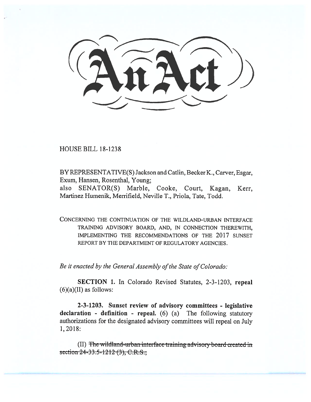$\sum$ 

HOUSE BILL 18-1238

BY REPRESENTATIVE(S) Jackson and Catlin, Becker K., Carver, Esgar, Exum, Hansen, Rosenthal, Young;

also SENATOR(S) Marble, Cooke, Court, Kagan, Kerr, Martinez Humenik, Merrifield, Neville T., Priola, Tate, Todd.

CONCERNING THE CONTINUATION OF THE WILDLAND-URBAN INTERFACE TRAINING ADVISORY BOARD, AND, IN CONNECTION THEREWITH, IMPLEMENTING THE RECOMMENDATIONS OF THE 2017 SUNSET REPORT BY THE DEPARTMENT OF REGULATORY AGENCIES.

*Be it enacted by the General Assembly of the State of Colorado:* 

**SECTION 1.** In Colorado Revised Statutes, 2-3-1203, **repeal**   $(6)(a)(II)$  as follows:

**2-3-1203. Sunset review of advisory committees - legislative declaration - definition - repeal.** (6) (a) The following statutory authorizations for the designated advisory committees will repeal on July 1, 2018:

(II) The wildland-urban interface training advisory board created in section  $24-33.5-1212(3)$ , C.R.S.;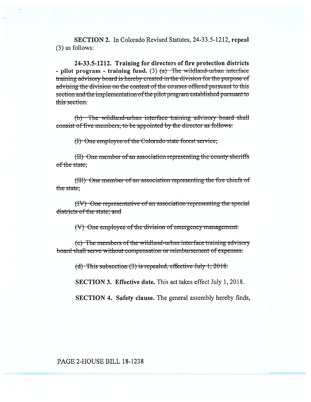**SECTION 2.** In Colorado Revised Statutes, 24-33.5-1212, repeal  $(3)$  as follows:

24-33.5-1212. Training for directors of fire protection districts - pilot program - training fund. (3)  $(a)$  The wildland-urban interface training advisory board is hereby created in the division for the purpose of advising the division on the content of the courses offered pursuant to this section and the implementation of the pilot program established pursuant to this section.

(b) The wildland-urban interface training advisory board shall consist of five members, to be appointed by the director as follows:

(I) One employee of the Colorado state forest service;

(II) One member of an association representing the county sheriffs of the state;

(III) One member of an association representing the fire chiefs of the state:

(IV) One representative of an association representing the special districts of the state; and

(V) One employee of the division of emergency management.

(c) The members of the wildland-urban interface training advisory board shall serve without compensation or reimbursement of expenses.

(d) This subsection  $(3)$  is repealed, effective July 1, 2018.

**SECTION 3. Effective date.** This act takes effect July 1, 2018.

**SECTION 4. Safety clause.** The general assembly hereby finds,

PAGE 2-HOUSE BILL 18-1238